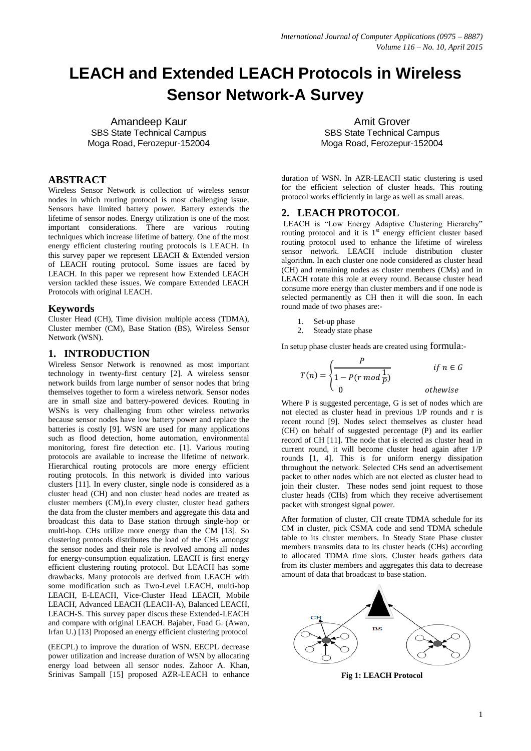# **LEACH and Extended LEACH Protocols in Wireless Sensor Network-A Survey**

Amandeep Kaur SBS State Technical Campus Moga Road, Ferozepur-152004

## **ABSTRACT**

Wireless Sensor Network is collection of wireless sensor nodes in which routing protocol is most challenging issue. Sensors have limited battery power. Battery extends the lifetime of sensor nodes. Energy utilization is one of the most important considerations. There are various routing techniques which increase lifetime of battery. One of the most energy efficient clustering routing protocols is LEACH. In this survey paper we represent LEACH & Extended version of LEACH routing protocol. Some issues are faced by LEACH. In this paper we represent how Extended LEACH version tackled these issues. We compare Extended LEACH Protocols with original LEACH.

#### **Keywords**

Cluster Head (CH), Time division multiple access (TDMA), Cluster member (CM), Base Station (BS), Wireless Sensor Network (WSN).

#### **1. INTRODUCTION**

Wireless Sensor Network is renowned as most important technology in twenty-first century [2]. A wireless sensor network builds from large number of sensor nodes that bring themselves together to form a wireless network. Sensor nodes are in small size and battery-powered devices. Routing in WSNs is very challenging from other wireless networks because sensor nodes have low battery power and replace the batteries is costly [9]. WSN are used for many applications such as flood detection, home automation, environmental monitoring, forest fire detection etc. [1]. Various routing protocols are available to increase the lifetime of network. Hierarchical routing protocols are more energy efficient routing protocols. In this network is divided into various clusters [11]. In every cluster, single node is considered as a cluster head (CH) and non cluster head nodes are treated as cluster members (CM).In every cluster, cluster head gathers the data from the cluster members and aggregate this data and broadcast this data to Base station through single-hop or multi-hop. CHs utilize more energy than the CM [13]. So clustering protocols distributes the load of the CHs amongst the sensor nodes and their role is revolved among all nodes for energy-consumption equalization. LEACH is first energy efficient clustering routing protocol. But LEACH has some drawbacks. Many protocols are derived from LEACH with some modification such as Two-Level LEACH, multi-hop LEACH, E-LEACH, Vice-Cluster Head LEACH, Mobile LEACH, Advanced LEACH (LEACH-A), Balanced LEACH, LEACH-S. This survey paper discus these Extended-LEACH and compare with original LEACH. Bajaber, Fuad G. (Awan, Irfan U.) [13] Proposed an energy efficient clustering protocol

(EECPL) to improve the duration of WSN. EECPL decrease power utilization and increase duration of WSN by allocating energy load between all sensor nodes. Zahoor A. Khan, Srinivas Sampall [15] proposed AZR-LEACH to enhance

Amit Grover SBS State Technical Campus Moga Road, Ferozepur-152004

duration of WSN. In AZR-LEACH static clustering is used for the efficient selection of cluster heads. This routing protocol works efficiently in large as well as small areas.

## **2. LEACH PROTOCOL**

LEACH is "Low Energy Adaptive Clustering Hierarchy" routing protocol and it is  $1<sup>st</sup>$  energy efficient cluster based routing protocol used to enhance the lifetime of wireless sensor network. LEACH include distribution cluster algorithm. In each cluster one node considered as cluster head (CH) and remaining nodes as cluster members (CMs) and in LEACH rotate this role at every round. Because cluster head consume more energy than cluster members and if one node is selected permanently as CH then it will die soon. In each round made of two phases are:-

- 1. Set-up phase
- 2. Steady state phase

In setup phase cluster heads are created using formula:-

$$
T(n) = \begin{cases} \frac{P}{1 - P(r \mod \frac{1}{P})} & \text{if } n \in G \\ 0 & \text{otherwise} \end{cases}
$$

Where P is suggested percentage, G is set of nodes which are not elected as cluster head in previous 1/P rounds and r is recent round [9]. Nodes select themselves as cluster head (CH) on behalf of suggested percentage (P) and its earlier record of CH [11]. The node that is elected as cluster head in current round, it will become cluster head again after 1/P rounds [1, 4]. This is for uniform energy dissipation throughout the network. Selected CHs send an advertisement packet to other nodes which are not elected as cluster head to join their cluster. These nodes send joint request to those cluster heads (CHs) from which they receive advertisement packet with strongest signal power.

After formation of cluster, CH create TDMA schedule for its CM in cluster, pick CSMA code and send TDMA schedule table to its cluster members. In Steady State Phase cluster members transmits data to its cluster heads (CHs) according to allocated TDMA time slots. Cluster heads gathers data from its cluster members and aggregates this data to decrease amount of data that broadcast to base station.



**Fig 1: LEACH Protocol**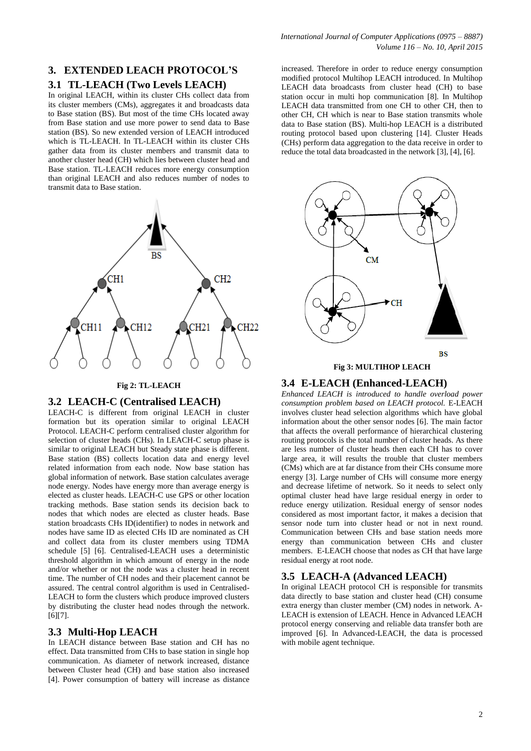# **3. EXTENDED LEACH PROTOCOL'S**

## **3.1 TL-LEACH (Two Levels LEACH)**

In original LEACH, within its cluster CHs collect data from its cluster members (CMs), aggregates it and broadcasts data to Base station (BS). But most of the time CHs located away from Base station and use more power to send data to Base station (BS). So new extended version of LEACH introduced which is TL-LEACH. In TL-LEACH within its cluster CHs gather data from its cluster members and transmit data to another cluster head (CH) which lies between cluster head and Base station. TL-LEACH reduces more energy consumption than original LEACH and also reduces number of nodes to transmit data to Base station.



#### **Fig 2: TL-LEACH**

#### **3.2 LEACH-C (Centralised LEACH)**

LEACH-C is different from original LEACH in cluster formation but its operation similar to original LEACH Protocol. LEACH-C perform centralised cluster algorithm for selection of cluster heads (CHs). In LEACH-C setup phase is similar to original LEACH but Steady state phase is different. Base station (BS) collects location data and energy level related information from each node. Now base station has global information of network. Base station calculates average node energy. Nodes have energy more than average energy is elected as cluster heads. LEACH-C use GPS or other location tracking methods. Base station sends its decision back to nodes that which nodes are elected as cluster heads. Base station broadcasts CHs ID(identifier) to nodes in network and nodes have same ID as elected CHs ID are nominated as CH and collect data from its cluster members using TDMA schedule [5] [6]. Centralised-LEACH uses a deterministic threshold algorithm in which amount of energy in the node and/or whether or not the node was a cluster head in recent time. The number of CH nodes and their placement cannot be assured. The central control algorithm is used in Centralised-LEACH to form the clusters which produce improved clusters by distributing the cluster head nodes through the network. [6][7].

#### **3.3 Multi-Hop LEACH**

In LEACH distance between Base station and CH has no effect. Data transmitted from CHs to base station in single hop communication. As diameter of network increased, distance between Cluster head (CH) and base station also increased [4]. Power consumption of battery will increase as distance increased. Therefore in order to reduce energy consumption modified protocol Multihop LEACH introduced. In Multihop LEACH data broadcasts from cluster head (CH) to base station occur in multi hop communication [8]. In Multihop LEACH data transmitted from one CH to other CH, then to other CH, CH which is near to Base station transmits whole data to Base station (BS). Multi-hop LEACH is a distributed routing protocol based upon clustering [14]. Cluster Heads (CHs) perform data aggregation to the data receive in order to reduce the total data broadcasted in the network [3], [4], [6].



#### **Fig 3: MULTIHOP LEACH**

#### **3.4 E-LEACH (Enhanced-LEACH)**

*Enhanced LEACH is introduced to handle overload power consumption problem based on LEACH protocol.* E-LEACH involves cluster head selection algorithms which have global information about the other sensor nodes [6]. The main factor that affects the overall performance of hierarchical clustering routing protocols is the total number of cluster heads. As there are less number of cluster heads then each CH has to cover large area, it will results the trouble that cluster members (CMs) which are at far distance from their CHs consume more energy [3]. Large number of CHs will consume more energy and decrease lifetime of network. So it needs to select only optimal cluster head have large residual energy in order to reduce energy utilization. Residual energy of sensor nodes considered as most important factor, it makes a decision that sensor node turn into cluster head or not in next round. Communication between CHs and base station needs more energy than communication between CHs and cluster members. E-LEACH choose that nodes as CH that have large residual energy at root node.

#### **3.5 LEACH-A (Advanced LEACH)**

In original LEACH protocol CH is responsible for transmits data directly to base station and cluster head (CH) consume extra energy than cluster member (CM) nodes in network. A-LEACH is extension of LEACH. Hence in Advanced LEACH protocol energy conserving and reliable data transfer both are improved [6]. In Advanced-LEACH, the data is processed with mobile agent technique.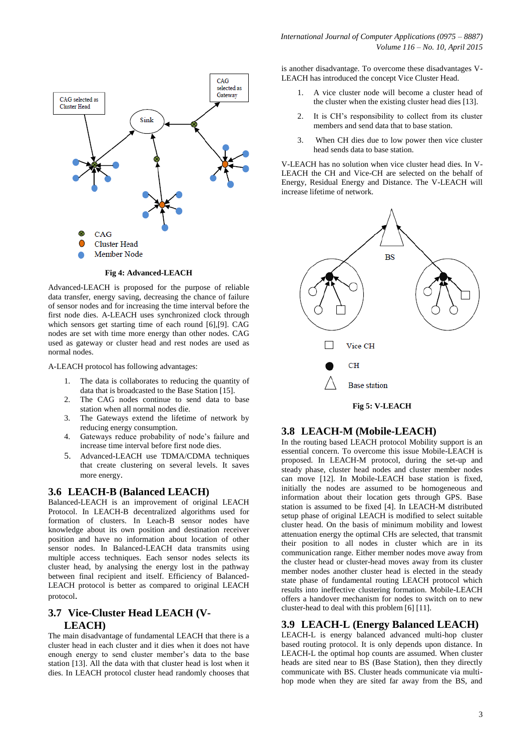

**Fig 4: Advanced-LEACH**

Advanced-LEACH is proposed for the purpose of reliable data transfer, energy saving, decreasing the chance of failure of sensor nodes and for increasing the time interval before the first node dies. A-LEACH uses synchronized clock through which sensors get starting time of each round [6],[9]. CAG nodes are set with time more energy than other nodes. CAG used as gateway or cluster head and rest nodes are used as normal nodes.

A-LEACH protocol has following advantages:

- 1. The data is collaborates to reducing the quantity of data that is broadcasted to the Base Station [15].
- 2. The CAG nodes continue to send data to base station when all normal nodes die.
- 3. The Gateways extend the lifetime of network by reducing energy consumption.
- 4. Gateways reduce probability of node's failure and increase time interval before first node dies.
- 5. Advanced-LEACH use TDMA/CDMA techniques that create clustering on several levels. It saves more energy.

## **3.6 LEACH-B (Balanced LEACH)**

Balanced-LEACH is an improvement of original LEACH Protocol. In LEACH-B decentralized algorithms used for formation of clusters. In Leach-B sensor nodes have knowledge about its own position and destination receiver position and have no information about location of other sensor nodes. In Balanced-LEACH data transmits using multiple access techniques. Each sensor nodes selects its cluster head, by analysing the energy lost in the pathway between final recipient and itself. Efficiency of Balanced-LEACH protocol is better as compared to original LEACH protocol.

## **3.7 Vice-Cluster Head LEACH (V-LEACH)**

The main disadvantage of fundamental LEACH that there is a cluster head in each cluster and it dies when it does not have enough energy to send cluster member's data to the base station [13]. All the data with that cluster head is lost when it dies. In LEACH protocol cluster head randomly chooses that is another disadvantage. To overcome these disadvantages V-LEACH has introduced the concept Vice Cluster Head.

- 1. A vice cluster node will become a cluster head of the cluster when the existing cluster head dies [13].
- 2. It is CH's responsibility to collect from its cluster members and send data that to base station.
- 3. When CH dies due to low power then vice cluster head sends data to base station.

V-LEACH has no solution when vice cluster head dies. In V-LEACH the CH and Vice-CH are selected on the behalf of Energy, Residual Energy and Distance. The V-LEACH will increase lifetime of network.



## **3.8 LEACH-M (Mobile-LEACH)**

In the routing based LEACH protocol Mobility support is an essential concern. To overcome this issue Mobile-LEACH is proposed. In LEACH-M protocol, during the set-up and steady phase, cluster head nodes and cluster member nodes can move [12]. In Mobile-LEACH base station is fixed, initially the nodes are assumed to be homogeneous and information about their location gets through GPS. Base station is assumed to be fixed [4]. In LEACH-M distributed setup phase of original LEACH is modified to select suitable cluster head. On the basis of minimum mobility and lowest attenuation energy the optimal CHs are selected, that transmit their position to all nodes in cluster which are in its communication range. Either member nodes move away from the cluster head or cluster-head moves away from its cluster member nodes another cluster head is elected in the steady state phase of fundamental routing LEACH protocol which results into ineffective clustering formation. Mobile-LEACH offers a handover mechanism for nodes to switch on to new cluster-head to deal with this problem [6] [11].

#### **3.9 LEACH-L (Energy Balanced LEACH)**

LEACH-L is energy balanced advanced multi-hop cluster based routing protocol. It is only depends upon distance. In LEACH-L the optimal hop counts are assumed. When cluster heads are sited near to BS (Base Station), then they directly communicate with BS. Cluster heads communicate via multihop mode when they are sited far away from the BS, and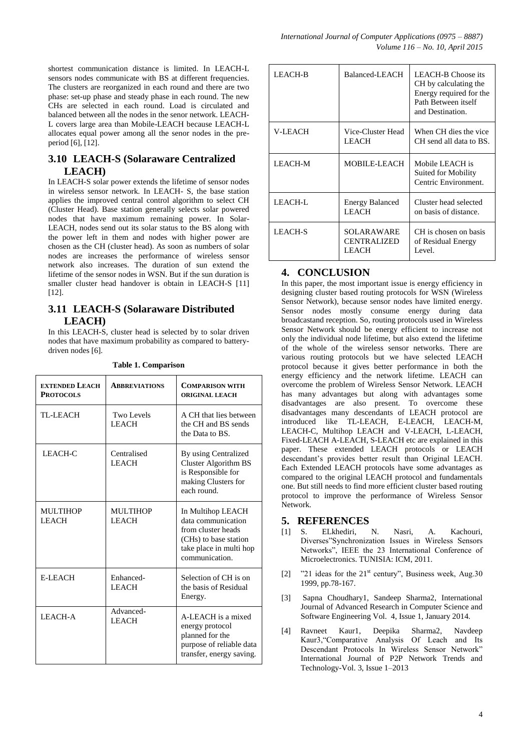shortest communication distance is limited. In LEACH-L sensors nodes communicate with BS at different frequencies. The clusters are reorganized in each round and there are two phase: set-up phase and steady phase in each round. The new CHs are selected in each round. Load is circulated and balanced between all the nodes in the senor network. LEACH-L covers large area than Mobile-LEACH because LEACH-L allocates equal power among all the senor nodes in the preperiod [6], [12].

# **3.10 LEACH-S (Solaraware Centralized LEACH)**

In LEACH-S solar power extends the lifetime of sensor nodes in wireless sensor network. In LEACH- S, the base station applies the improved central control algorithm to select CH (Cluster Head). Base station generally selects solar powered nodes that have maximum remaining power. In Solar-LEACH, nodes send out its solar status to the BS along with the power left in them and nodes with higher power are chosen as the CH (cluster head). As soon as numbers of solar nodes are increases the performance of wireless sensor network also increases. The duration of sun extend the lifetime of the sensor nodes in WSN. But if the sun duration is smaller cluster head handover is obtain in LEACH-S [11] [12].

## **3.11 LEACH-S (Solaraware Distributed LEACH)**

In this LEACH-S, cluster head is selected by to solar driven nodes that have maximum probability as compared to batterydriven nodes [6].

| <b>EXTENDED LEACH</b><br><b>PROTOCOLS</b> | <b>ABBREVIATIONS</b>              | <b>COMPARISON WITH</b><br><b>ORIGINAL LEACH</b>                                                                                     |
|-------------------------------------------|-----------------------------------|-------------------------------------------------------------------------------------------------------------------------------------|
| TL-LEACH                                  | <b>Two Levels</b><br><b>LEACH</b> | A CH that lies between<br>the CH and BS sends<br>the Data to BS.                                                                    |
| LEACH-C                                   | Centralised<br><b>LEACH</b>       | By using Centralized<br><b>Cluster Algorithm BS</b><br>is Responsible for<br>making Clusters for<br>each round.                     |
| <b>MULTIHOP</b><br><b>LEACH</b>           | <b>MULTIHOP</b><br><b>LEACH</b>   | In Multihop LEACH<br>data communication<br>from cluster heads<br>(CHs) to base station<br>take place in multi hop<br>communication. |
| E-LEACH                                   | Enhanced-<br><b>LEACH</b>         | Selection of CH is on<br>the basis of Residual<br>Energy.                                                                           |
| <b>LEACH-A</b>                            | Advanced-<br><b>LEACH</b>         | A-LEACH is a mixed<br>energy protocol<br>planned for the<br>purpose of reliable data<br>transfer, energy saving.                    |

**Table 1. Comparison**

| LEACH-B        | Balanced-LEACH                                   | LEACH-B Choose its<br>CH by calculating the<br>Energy required for the<br>Path Between itself<br>and Destination. |
|----------------|--------------------------------------------------|-------------------------------------------------------------------------------------------------------------------|
| V-LEACH        | Vice-Cluster Head<br><b>LEACH</b>                | When CH dies the vice<br>CH send all data to BS.                                                                  |
| LEACH-M        | MOBILE-LEACH                                     | Mobile LEACH is<br>Suited for Mobility<br>Centric Environment.                                                    |
| LEACH-L        | <b>Energy Balanced</b><br><b>LEACH</b>           | Cluster head selected<br>on basis of distance.                                                                    |
| <b>LEACH-S</b> | SOLARAWARE<br><b>CENTRALIZED</b><br><b>LEACH</b> | CH is chosen on basis<br>of Residual Energy<br>Level.                                                             |

# **4. CONCLUSION**

In this paper, the most important issue is energy efficiency in designing cluster based routing protocols for WSN (Wireless Sensor Network), because sensor nodes have limited energy. Sensor nodes mostly consume energy during data broadcastand reception. So, routing protocols used in Wireless Sensor Network should be energy efficient to increase not only the individual node lifetime, but also extend the lifetime of the whole of the wireless sensor networks. There are various routing protocols but we have selected LEACH protocol because it gives better performance in both the energy efficiency and the network lifetime. LEACH can overcome the problem of Wireless Sensor Network. LEACH has many advantages but along with advantages some disadvantages are also present. To overcome these disadvantages many descendants of LEACH protocol are introduced like TL-LEACH, E-LEACH, LEACH-M, LEACH-C, Multihop LEACH and V-LEACH, L-LEACH, Fixed-LEACH A-LEACH, S-LEACH etc are explained in this paper. These extended LEACH protocols or LEACH descendant's provides better result than Original LEACH. Each Extended LEACH protocols have some advantages as compared to the original LEACH protocol and fundamentals one. But still needs to find more efficient cluster based routing protocol to improve the performance of Wireless Sensor Network.

## **5. REFERENCES**

- [1] S. ELkhediri, N. Nasri, A. Kachouri, Diverses"Synchronization Issues in Wireless Sensors Networks", IEEE the 23 International Conference of Microelectronics. TUNISIA: ICM, 2011.
- [2]  $"21$  ideas for the  $21$ <sup>st</sup> century", Business week, Aug. 30 1999, pp.78-167.
- [3] Sapna Choudhary1, Sandeep Sharma2, International Journal of Advanced Research in Computer Science and Software Engineering Vol. 4, Issue 1, January 2014.
- [4] Ravneet Kaur1, Deepika Sharma2, Navdeep Kaur3,"Comparative Analysis Of Leach and Its Descendant Protocols In Wireless Sensor Network" International Journal of P2P Network Trends and Technology-Vol. 3, Issue 1–2013